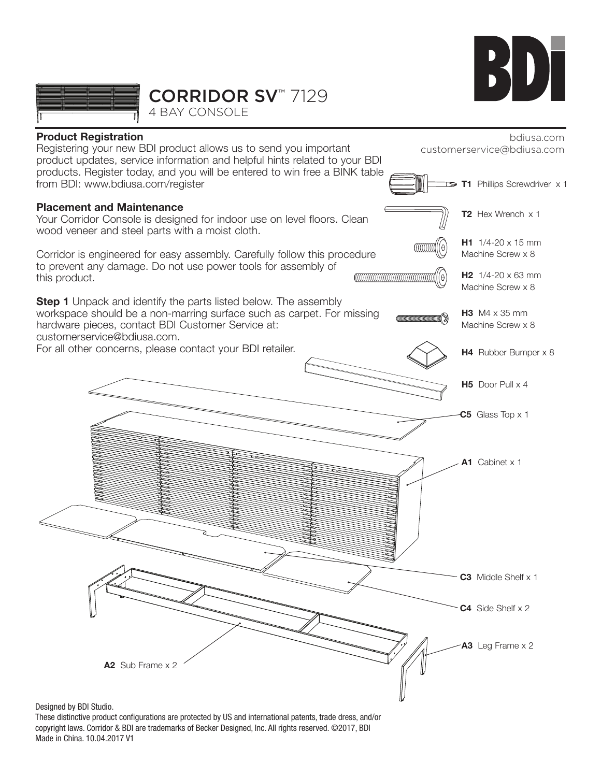



CORRIDOR SV™ 7129

4 BAY CONSOLE



Designed by BDI Studio.

These distinctive product configurations are protected by US and international patents, trade dress, and/or copyright laws. Corridor & BDI are trademarks of Becker Designed, Inc. All rights reserved. ©2017, BDI Made in China. 10.04.2017 V1